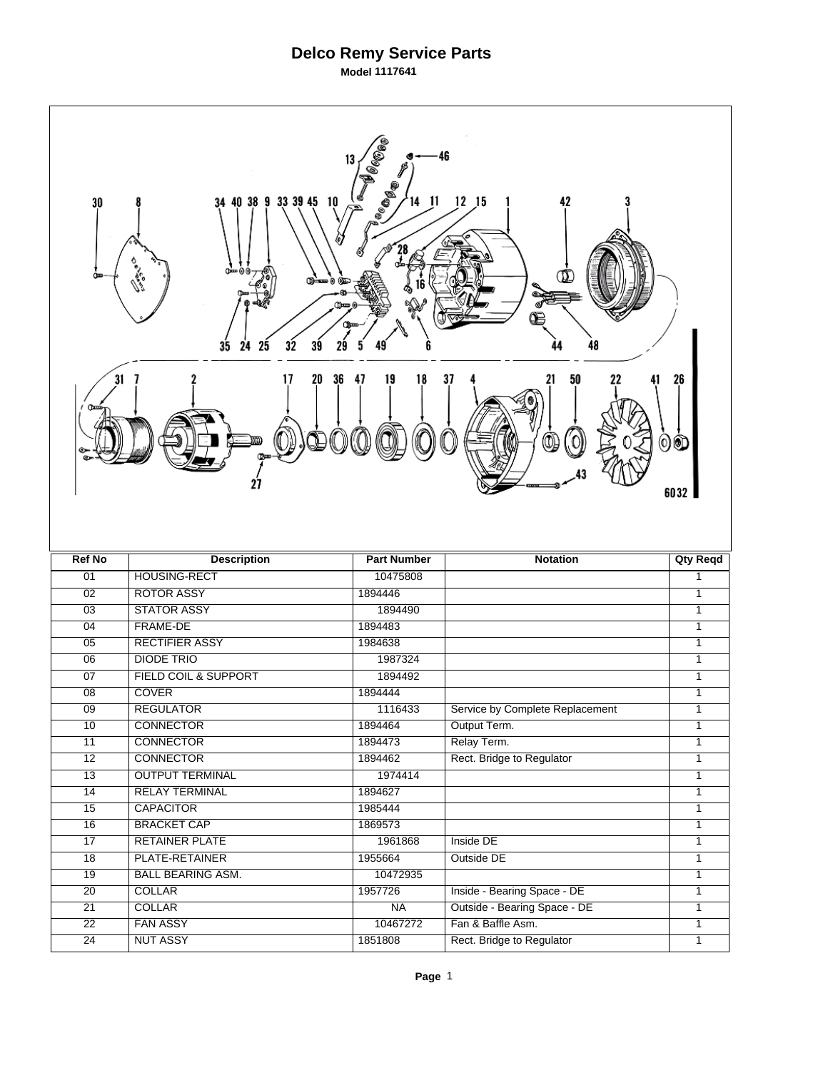## **Delco Remy Service Parts**

**Model 1117641**

| <b>Bee</b><br>46<br>13<br><b>A BABALLA</b><br>9 33 39 45 10<br>$12$ $15$<br>42<br>34 40 38<br>11<br>30<br>n<br>00≔աացնա<br>Œmo<br>35<br>32<br>24<br>25<br>48<br>39 |                           |                      |                                                   |                   |  |  |
|--------------------------------------------------------------------------------------------------------------------------------------------------------------------|---------------------------|----------------------|---------------------------------------------------|-------------------|--|--|
| 31<br>36<br>47<br>19<br>18<br>37<br>50<br>17<br>20<br>26<br>$\mathbb{Q}$<br>00<br>6032                                                                             |                           |                      |                                                   |                   |  |  |
|                                                                                                                                                                    |                           |                      |                                                   |                   |  |  |
| <b>Ref No</b>                                                                                                                                                      | <b>Description</b>        | <b>Part Number</b>   | <b>Notation</b>                                   | <b>Qty Reqd</b>   |  |  |
| 01                                                                                                                                                                 | HOUSING-RECT              | 10475808             |                                                   | 1                 |  |  |
| 02                                                                                                                                                                 | <b>ROTOR ASSY</b>         | 1894446              |                                                   | $\mathbf{1}$      |  |  |
| $\overline{03}$                                                                                                                                                    | <b>STATOR ASSY</b>        | 1894490              |                                                   | 1                 |  |  |
| 04                                                                                                                                                                 | FRAME-DE                  | 1894483              |                                                   | 1                 |  |  |
| 05                                                                                                                                                                 | <b>RECTIFIER ASSY</b>     | 1984638              |                                                   | $\mathbf{1}$      |  |  |
| $\overline{06}$                                                                                                                                                    | <b>DIODE TRIO</b>         | 1987324              |                                                   | 1                 |  |  |
| 07                                                                                                                                                                 | FIELD COIL & SUPPORT      | 1894492              |                                                   | 1                 |  |  |
| 08                                                                                                                                                                 | <b>COVER</b>              | 1894444              |                                                   | 1                 |  |  |
| $\overline{09}$                                                                                                                                                    | <b>REGULATOR</b>          | 1116433              | Service by Complete Replacement                   | 1                 |  |  |
| 10                                                                                                                                                                 | <b>CONNECTOR</b>          | 1894464              | Output Term.                                      | 1                 |  |  |
| 11                                                                                                                                                                 | <b>CONNECTOR</b>          | 1894473              | Relay Term.                                       | 1                 |  |  |
| $\overline{12}$                                                                                                                                                    | <b>CONNECTOR</b>          | 1894462              | Rect. Bridge to Regulator                         | 1                 |  |  |
| $\overline{13}$                                                                                                                                                    | <b>OUTPUT TERMINAL</b>    | 1974414              |                                                   | $\overline{1}$    |  |  |
| 14                                                                                                                                                                 | <b>RELAY TERMINAL</b>     | 1894627              |                                                   | $\mathbf{1}$      |  |  |
| $\overline{15}$                                                                                                                                                    | <b>CAPACITOR</b>          | 1985444              |                                                   | 1                 |  |  |
| 16                                                                                                                                                                 | <b>BRACKET CAP</b>        | 1869573              |                                                   | 1<br>1            |  |  |
| $\overline{17}$                                                                                                                                                    | <b>RETAINER PLATE</b>     | 1961868              | Inside DE                                         |                   |  |  |
| $\overline{18}$                                                                                                                                                    | PLATE-RETAINER            | 1955664              | Outside DE                                        | 1                 |  |  |
| 19                                                                                                                                                                 | <b>BALL BEARING ASM.</b>  | 10472935             |                                                   | $\mathbf{1}$<br>1 |  |  |
| $\overline{20}$<br>21                                                                                                                                              | <b>COLLAR</b>             | 1957726<br><b>NA</b> | Inside - Bearing Space - DE                       | 1                 |  |  |
| 22                                                                                                                                                                 | COLLAR<br><b>FAN ASSY</b> | 10467272             | Outside - Bearing Space - DE<br>Fan & Baffle Asm. | 1                 |  |  |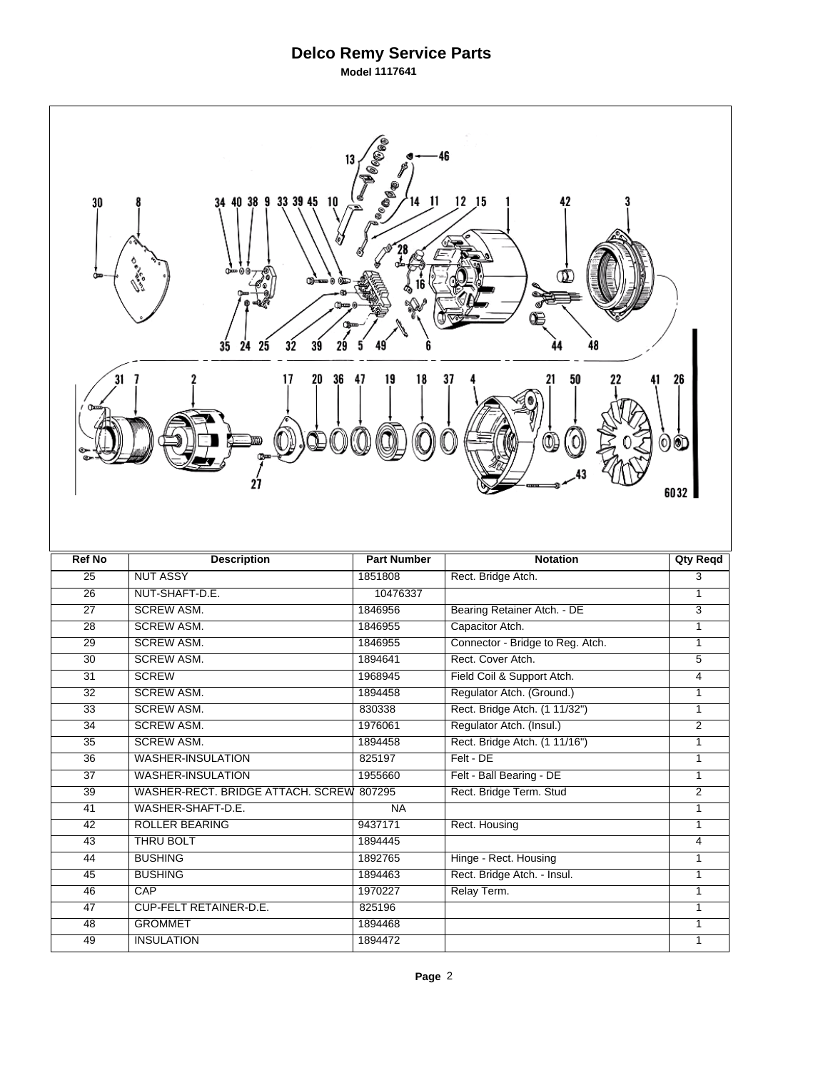## **Delco Remy Service Parts**

**Model 1117641**

| <b>Belles</b><br>46<br><b>Lee Base</b><br>9 33 39 45 10<br>$12$ $15$<br>11<br>42<br>34 40 38<br>30<br>00 <del>---</del> 00<br>ሙ≖<br>35<br>32<br>24<br>25<br>39 |                                                 |                    |                                  |                 |  |  |
|----------------------------------------------------------------------------------------------------------------------------------------------------------------|-------------------------------------------------|--------------------|----------------------------------|-----------------|--|--|
| 31<br>36<br>47<br>19<br>18<br>20<br>37<br>50<br>26<br>00<br>6032                                                                                               |                                                 |                    |                                  |                 |  |  |
|                                                                                                                                                                |                                                 |                    |                                  |                 |  |  |
| <b>Ref No</b>                                                                                                                                                  | <b>Description</b>                              | <b>Part Number</b> | <b>Notation</b>                  | <b>Qty Reqd</b> |  |  |
| 25                                                                                                                                                             | <b>NUT ASSY</b>                                 | 1851808            | Rect. Bridge Atch.               | $\overline{3}$  |  |  |
| $\overline{26}$                                                                                                                                                | NUT-SHAFT-D.E.                                  | 10476337           |                                  | $\mathbf{1}$    |  |  |
| $\overline{27}$                                                                                                                                                | <b>SCREW ASM.</b>                               | 1846956            | Bearing Retainer Atch. - DE      | 3               |  |  |
| $\overline{28}$                                                                                                                                                | <b>SCREW ASM.</b>                               | 1846955            | Capacitor Atch.                  | $\mathbf{1}$    |  |  |
| 29                                                                                                                                                             | <b>SCREW ASM.</b>                               | 1846955            | Connector - Bridge to Reg. Atch. | $\mathbf{1}$    |  |  |
| $\overline{30}$                                                                                                                                                | <b>SCREW ASM.</b>                               | 1894641            | Rect. Cover Atch.                | 5               |  |  |
| $\overline{31}$                                                                                                                                                | <b>SCREW</b>                                    | 1968945            | Field Coil & Support Atch.       | $\overline{4}$  |  |  |
| 32                                                                                                                                                             | <b>SCREW ASM.</b>                               | 1894458            | Regulator Atch. (Ground.)        | 1               |  |  |
| $\overline{33}$                                                                                                                                                | <b>SCREW ASM.</b>                               | 830338             | Rect. Bridge Atch. (1 11/32")    | 1               |  |  |
| 34                                                                                                                                                             | <b>SCREW ASM.</b>                               | 1976061            | Regulator Atch. (Insul.)         | $\overline{2}$  |  |  |
| 35                                                                                                                                                             | <b>SCREW ASM.</b>                               | 1894458            | Rect. Bridge Atch. (1 11/16")    | 1               |  |  |
| $\overline{36}$                                                                                                                                                | <b>WASHER-INSULATION</b>                        | 825197             | Felt - DE                        | 1               |  |  |
| $\overline{37}$                                                                                                                                                | <b>WASHER-INSULATION</b>                        | 1955660            | Felt - Ball Bearing - DE         | 1               |  |  |
| $\overline{39}$                                                                                                                                                | WASHER-RECT. BRIDGE ATTACH. SCREW               | 807295             | Rect. Bridge Term. Stud          | $\overline{2}$  |  |  |
| $\overline{41}$                                                                                                                                                | WASHER-SHAFT-D.E.                               | <b>NA</b>          |                                  | 1               |  |  |
| 42                                                                                                                                                             | <b>ROLLER BEARING</b>                           | 9437171            | Rect. Housing                    | 1               |  |  |
| 43                                                                                                                                                             | THRU BOLT                                       | 1894445            |                                  | $\overline{4}$  |  |  |
| 44                                                                                                                                                             | <b>BUSHING</b>                                  | 1892765            | Hinge - Rect. Housing            | $\mathbf{1}$    |  |  |
| 45                                                                                                                                                             | <b>BUSHING</b>                                  | 1894463            | Rect. Bridge Atch. - Insul.      | 1               |  |  |
| $\overline{46}$                                                                                                                                                | CAP                                             | 1970227            | Relay Term.                      | 1               |  |  |
| 47<br>48                                                                                                                                                       | <b>CUP-FELT RETAINER-D.E.</b><br><b>GROMMET</b> | 825196<br>1894468  |                                  | 1<br>1          |  |  |